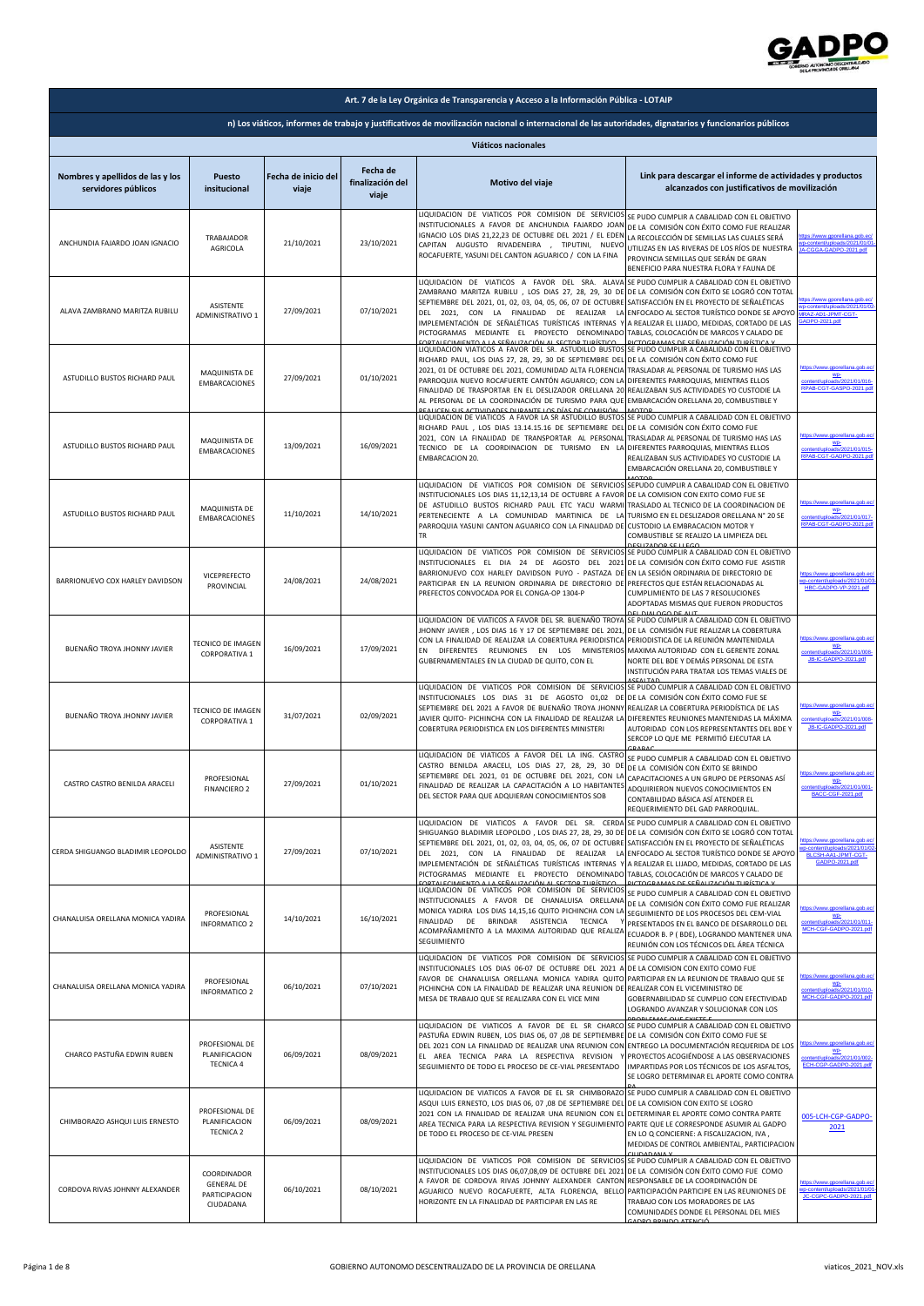

| Art. 7 de la Ley Orgánica de Transparencia y Acceso a la Información Pública - LOTAIP                                                                  |                                                                |                              |                                       |                                                                                                                                                                                                                                                                                                                                                                                                                                                                                                                                              |                                                                                                                                                                                                                                                                               |                                                                                                |
|--------------------------------------------------------------------------------------------------------------------------------------------------------|----------------------------------------------------------------|------------------------------|---------------------------------------|----------------------------------------------------------------------------------------------------------------------------------------------------------------------------------------------------------------------------------------------------------------------------------------------------------------------------------------------------------------------------------------------------------------------------------------------------------------------------------------------------------------------------------------------|-------------------------------------------------------------------------------------------------------------------------------------------------------------------------------------------------------------------------------------------------------------------------------|------------------------------------------------------------------------------------------------|
| n) Los viáticos, informes de trabajo y justificativos de movilización nacional o internacional de las autoridades, dignatarios y funcionarios públicos |                                                                |                              |                                       |                                                                                                                                                                                                                                                                                                                                                                                                                                                                                                                                              |                                                                                                                                                                                                                                                                               |                                                                                                |
| Viáticos nacionales                                                                                                                                    |                                                                |                              |                                       |                                                                                                                                                                                                                                                                                                                                                                                                                                                                                                                                              |                                                                                                                                                                                                                                                                               |                                                                                                |
| Nombres y apellidos de las y los<br>servidores públicos                                                                                                | Puesto<br>insitucional                                         | Fecha de inicio del<br>viaje | Fecha de<br>finalización del<br>viaje | Motivo del viaje                                                                                                                                                                                                                                                                                                                                                                                                                                                                                                                             | Link para descargar el informe de actividades y productos<br>alcanzados con justificativos de movilización                                                                                                                                                                    |                                                                                                |
| ANCHUNDIA FAJARDO JOAN IGNACIO                                                                                                                         | TRABAJADOR<br>AGRICOLA                                         | 21/10/2021                   | 23/10/2021                            | LIQUIDACION DE VIATICOS POR COMISION DE SERVICIOS<br>INSTITUCIONALES A FAVOR DE ANCHUNDIA FAJARDO JOAN<br>IGNACIO LOS DIAS 21,22,23 DE OCTUBRE DEL 2021 / EL EDEN<br>CAPITAN AUGUSTO RIVADENEIRA , TIPUTINI, NUEVO<br>ROCAFUERTE, YASUNI DEL CANTON AGUARICO / CON LA FINA                                                                                                                                                                                                                                                                   | SE PUDO CUMPLIR A CABALIDAD CON EL OBJETIVO<br>DE LA COMISIÓN CON ÉXITO COMO FUE REALIZAR<br>LA RECOLECCIÓN DE SEMILLAS LAS CUALES SERÁ<br>UTILIZAS EN LAS RIVERAS DE LOS RÍOS DE NUESTRA<br>PROVINCIA SEMILLAS QUE SERÁN DE GRAN<br>BENEFICIO PARA NUESTRA FLORA Y FAUNA DE  | ww.gporellana.gob.ec<br>p-content/uploads/2021/01/0<br>A-CGGA-GADPO-2021.pdf                   |
| ALAVA ZAMBRANO MARITZA RUBILU                                                                                                                          | <b>ASISTENTE</b><br>ADMINISTRATIVO 1                           | 27/09/2021                   | 07/10/2021                            | LIQUIDACION DE VIATICOS A FAVOR DEL SRA. ALAVA<br>ZAMBRANO MARITZA RUBILU, LOS DIAS 27, 28, 29, 30 DE<br>SEPTIEMBRE DEL 2021, 01, 02, 03, 04, 05, 06, 07 DE OCTUBRE<br>DEL 2021, CON LA FINALIDAD DE REALIZAR<br>IMPLEMENTACIÓN DE SEÑALÉTICAS TURÍSTICAS INTERNAS Y A REALIZAR EL LIJADO, MEDIDAS, CORTADO DE LAS<br>PICTOGRAMAS MEDIANTE EL PROYECTO DENOMINADO TABLAS, COLOCACIÓN DE MARCOS Y CALADO DE<br><u>EOPTALECIMIENTO A LA CEÑALIZACIÓN AL CECTOR TURÍSTICO</u>                                                                   | SE PUDO CUMPLIR A CABALIDAD CON EL OBJETIVO<br>DE LA COMISIÓN CON ÉXITO SE LOGRÓ CON TOTAL<br>SATISFACCIÓN EN EL PROYECTO DE SEÑALÉTICAS<br>LA ENFOCADO AL SECTOR TURÍSTICO DONDE SE APOYO<br><u>ICTOCDAMAS DE SEÑALIZACIÓN TLIDÍSTICA V</u>                                  | www.gporellana.gob.ec<br>content/uploads/2021/01/0<br>MRAZ-AD1-JPMT-CGT-<br>ADPO-2021.pdf      |
| ASTUDILLO BUSTOS RICHARD PAUL                                                                                                                          | MAQUINISTA DE<br><b>EMBARCACIONES</b>                          | 27/09/2021                   | 01/10/2021                            | LIQUIDACION VIATICOS A FAVOR DEL SR. ASTUDILLO BUSTOS<br>RICHARD PAUL, LOS DIAS 27, 28, 29, 30 DE SEPTIEMBRE DEL<br>2021, 01 DE OCTUBRE DEL 2021, COMUNIDAD ALTA FLORENCIA<br>PARROQUIA NUEVO ROCAFUERTE CANTÓN AGUARICO; CON LA<br>FINALIDAD DE TRASPORTAR EN EL DESLIZADOR ORELLANA 20<br>AL PERSONAL DE LA COORDINACIÓN DE TURISMO PARA QUE<br><u>DEALICEN CHE ACTIVIDADES DUDANTE LOS DÍAS DE COMISIÓNI</u>                                                                                                                              | SE PUDO CUMPLIR A CABALIDAD CON EL OBJETIVO<br>DE LA COMISIÓN CON ÉXITO COMO FUE<br>TRASLADAR AL PERSONAL DE TURISMO HAS LAS<br>DIFERENTES PARROQUIAS, MIENTRAS ELLOS<br>REALIZABAN SUS ACTIVIDADES YO CUSTODIE LA<br>EMBARCACIÓN ORELLANA 20, COMBUSTIBLE Y<br><b>AOTOR</b>  | gporellana.gob.ed<br>wp-<br>021/01/016<br>RPAB-CGT-GASPO-2021.pd                               |
| ASTUDILLO BUSTOS RICHARD PAUL                                                                                                                          | MAQUINISTA DE<br><b>EMBARCACIONES</b>                          | 13/09/2021                   | 16/09/2021                            | LIQUIDACION DE VIATICOS A FAVOR LA SR ASTUDILLO BUSTOS<br>RICHARD PAUL, LOS DIAS 13.14.15.16 DE SEPTIEMBRE DEL<br>2021, CON LA FINALIDAD DE TRANSPORTAR AL PERSONAL<br>TECNICO DE LA COORDINACION DE TURISMO EN LA<br><b>EMBARCACION 20.</b>                                                                                                                                                                                                                                                                                                 | SE PUDO CUMPLIR A CABALIDAD CON EL OBJETIVO<br>DE LA COMISIÓN CON ÉXITO COMO FUE<br>TRASLADAR AL PERSONAL DE TURISMO HAS LAS<br>DIFERENTES PARROQUIAS, MIENTRAS ELLOS<br>REALIZABAN SUS ACTIVIDADES YO CUSTODIE LA<br>EMBARCACIÓN ORELLANA 20, COMBUSTIBLE Y                  | WD-<br>content/uploads/2021/01/015<br>RPAB-CGT-GADPO-2021.pdf                                  |
| ASTUDILLO BUSTOS RICHARD PAUL                                                                                                                          | MAQUINISTA DE<br><b>EMBARCACIONES</b>                          | 11/10/2021                   | 14/10/2021                            | LIQUIDACION DE VIATICOS POR COMISION DE SERVICIOS<br>INSTITUCIONALES LOS DIAS 11,12,13,14 DE OCTUBRE A FAVOR DE LA COMISION CON EXITO COMO FUE SE<br>DE ASTUDILLO BUSTOS RICHARD PAUL ETC YACU WARMI<br>PERTENECIENTE A LA COMUNIDAD MARTINICA DE LA<br>PARROQUIA YASUNI CANTON AGUARICO CON LA FINALIDAD DE<br>TR                                                                                                                                                                                                                           | SEPUDO CUMPLIR A CABALIDAD CON EL OBJETIVO<br>TRASLADO AL TECNICO DE LA COORDINACION DE<br>TURISMO EN EL DESLIZADOR ORELLANA Nº 20 SE<br>CUSTODIO LA EMBRACACION MOTOR Y<br>COMBUSTIBLE SE REALIZO LA LIMPIEZA DEL<br>C117ADOD C11CCO                                         | ttps://www.gporellana.gob.ec<br>wp-<br>content/uploads/2021/01/017-<br>RPAB-CGT-GADPO-2021.pdf |
| BARRIONUEVO COX HARLEY DAVIDSON                                                                                                                        | VICEPREFECTO<br>PROVINCIAL                                     | 24/08/2021                   | 24/08/2021                            | LIQUIDACION DE VIATICOS POR COMISION DE SERVICIOS<br>INSTITUCIONALES EL DIA 24 DE AGOSTO DEL 2021<br>BARRIONUEVO COX HARLEY DAVIDSON PUYO - PASTAZA DE<br>PARTICIPAR EN LA REUNION ORDINARIA DE DIRECTORIO DE PREFECTOS QUE ESTÁN RELACIONADAS AL<br>PREFECTOS CONVOCADA POR EL CONGA-OP 1304-P                                                                                                                                                                                                                                              | SE PUDO CUMPLIR A CABALIDAD CON EL OBJETIVO<br>DE LA COMISIÓN CON ÉXITO COMO FUE ASISTIR<br>EN LA SESIÓN ORDINARIA DE DIRECTORIO DE<br>CUMPLIMIENTO DE LAS 7 RESOLUCIONES<br>ADOPTADAS MISMAS QUE FUERON PRODUCTOS                                                            | https://www.gporellana.gob.ec<br>/uploads/2021/01/0<br>HBC-GADPO-VP-2021.pdf                   |
| BUENAÑO TROYA JHONNY JAVIER                                                                                                                            | TECNICO DE IMAGEN<br>CORPORATIVA 1                             | 16/09/2021                   | 17/09/2021                            | LIQUIDACION DE VIATICOS A FAVOR DEL SR. BUENAÑO TROYA SE PUDO CUMPLIR A CABALIDAD CON EL OBJETIVO<br>JHONNY JAVIER, LOS DIAS 16 Y 17 DE SEPTIEMBRE DEL 2021,<br>CON LA FINALIDAD DE REALIZAR LA COBERTURA PERIODISTICA<br>EN DIFERENTES REUNIONES EN<br>LOS MINISTERIOS<br>GUBERNAMENTALES EN LA CIUDAD DE QUITO, CON EL                                                                                                                                                                                                                     | EL DIALOCO DE ALIT<br>DE LA COMISIÓN FUE REALIZAR LA COBERTURA<br>PERIODISTICA DE LA REUNIÓN MANTENIDALA<br>MAXIMA AUTORIDAD CON EL GERENTE ZONAL<br>NORTE DEL BDE Y DEMÁS PERSONAL DE ESTA<br>INSTITUCIÓN PARA TRATAR LOS TEMAS VIALES DE<br>CEALTAL                         | aporellana.gob.ed<br>WD-<br>content/uploads/2021/01/008<br>JB-IC-GADPO-2021 ndf                |
| BUENAÑO TROYA JHONNY JAVIER                                                                                                                            | TECNICO DE IMAGEN<br>CORPORATIVA 1                             | 31/07/2021                   | 02/09/2021                            | LIQUIDACION DE VIATICOS POR COMISION DE SERVICIOS<br>INSTITUCIONALES LOS DIAS 31 DE AGOSTO 01,02 DE<br>SEPTIEMBRE DEL 2021 A FAVOR DE BUENAÑO TROYA JHONNY<br>JAVIER QUITO- PICHINCHA CON LA FINALIDAD DE REALIZAR LA DIFERENTES REUNIONES MANTENIDAS LA MÁXIMA<br>COBERTURA PERIODISTICA EN LOS DIFERENTES MINISTERI                                                                                                                                                                                                                        | SE PUDO CUMPLIR A CABALIDAD CON EL OBJETIVO<br>DE LA COMISIÓN CON ÉXITO COMO FUE SE<br>REALIZAR LA COBERTURA PERIODÍSTICA DE LAS<br>AUTORIDAD CON LOS REPRESENTANTES DEL BDE Y<br>SERCOP LO QUE ME PERMITIÓ EJECUTAR LA                                                       | ttps://www.gporellana.gob.ec<br>WD-<br>21/01/008<br>JB-IC-GADPO-2021.pdf                       |
| CASTRO CASTRO BENILDA ARACELI                                                                                                                          | PROFESIONAL<br><b>FINANCIERO 2</b>                             | 27/09/2021                   | 01/10/2021                            | LIQUIDACION DE VIATICOS A FAVOR DEL LA ING. CASTRO<br>CASTRO BENILDA ARACELI, LOS DIAS 27, 28, 29, 30 DE<br>SEPTIEMBRE DEL 2021, 01 DE OCTUBRE DEL 2021, CON LA CAPACITACIONES A UN GRUPO DE PERSONAS ASÍ<br>FINALIDAD DE REALIZAR LA CAPACITACIÓN A LO HABITANTES<br>DEL SECTOR PARA QUE ADQUIERAN CONOCIMIENTOS SOB                                                                                                                                                                                                                        | SE PUDO CUMPLIR A CABALIDAD CON EL OBJETIVO<br>DE LA COMISIÓN CON ÉXITO SE BRINDO<br>ADQUIRIERON NUEVOS CONOCIMIENTOS EN<br>CONTABILIDAD BÁSICA ASÍ ATENDER EL<br>REQUERIMIENTO DEL GAD PARROQUIAL.                                                                           | https://www.gporellana.gob.ec<br>ontent/uploads/2021/01/001-<br>BACC-CGF-2021.pdf              |
| CERDA SHIGUANGO BLADIMIR LEOPOLDO                                                                                                                      | ASISTENTE<br>ADMINISTRATIVO 1                                  | 27/09/2021                   | 07/10/2021                            | LIQUIDACION DE VIATICOS A FAVOR DEL SR. CERDA<br>SHIGUANGO BLADIMIR LEOPOLDO, LOS DIAS 27, 28, 29, 30 DE DE LA COMISIÓN CON ÉXITO SE LOGRÓ CON TOTAL<br>SEPTIEMBRE DEL 2021, 01, 02, 03, 04, 05, 06, 07 DE OCTUBRE SATISFACCIÓN EN EL PROYECTO DE SEÑALÉTICAS<br>DEL 2021, CON LA FINALIDAD DE REALIZAR LA ENFOCADO AL SECTOR TURÍSTICO DONDE SE APOYO<br>IMPLEMENTACIÓN DE SEÑALÉTICAS TURÍSTICAS INTERNAS Y<br>PICTOGRAMAS MEDIANTE EL PROYECTO DENOMINADO TABLAS, COLOCACIÓN DE MARCOS Y CALADO DE<br>ODTALECIMIENTO A LA CEÑALIZACIÓN AL | SE PUDO CUMPLIR A CABALIDAD CON EL OBJETIVO<br>A REALIZAR EL LIJADO, MEDIDAS, CORTADO DE LAS<br><b>DAMAC DE CEÑALIZACIÓN TUD</b>                                                                                                                                              | content/uploads/2021/01/0<br>BLCSH-AA1-JPMT-CGT-<br>GADPO-2021.pdf                             |
| CHANALUISA ORELLANA MONICA YADIRA                                                                                                                      | PROFESIONAL<br><b>INFORMATICO 2</b>                            | 14/10/2021                   | 16/10/2021                            | LIQUIDACION DE VIATICOS POR COMISION DE SERVICIOS<br>INSTITUCIONALES A FAVOR DE CHANALUISA ORELLANA<br>MONICA YADIRA LOS DIAS 14,15,16 QUITO PICHINCHA CON LA<br>FINALIDAD DE BRINDAR ASISTENCIA TECNICA<br>ACOMPAÑAMIENTO A LA MAXIMA AUTORIDAD QUE REALIZA<br>SEGUIMIENTO                                                                                                                                                                                                                                                                  | SE PUDO CUMPLIR A CABALIDAD CON EL OBJETIVO<br>DE LA COMISIÓN CON ÉXITO COMO FUE REALIZAR<br>SEGUIMIENTO DE LOS PROCESOS DEL CEM-VIAL<br>PRESENTADOS EN EL BANCO DE DESARROLLO DEL<br>ECUADOR B. P ( BDE), LOGRANDO MANTENER UNA<br>REUNIÓN CON LOS TÉCNICOS DEL ÁREA TÉCNICA | gporellana.gob.ed<br>WD-<br>ads/2021/01/011<br>MCH-CGE-GADPO-2021 ndf                          |
| CHANALUISA ORELLANA MONICA YADIRA                                                                                                                      | PROFESIONAL<br><b>INFORMATICO 2</b>                            | 06/10/2021                   | 07/10/2021                            | LIQUIDACION DE VIATICOS POR COMISION DE SERVICIOS<br>INSTITUCIONALES LOS DIAS 06-07 DE OCTUBRE DEL 2021 A<br>FAVOR DE CHANALUISA ORELLANA MONICA YADIRA QUITO<br>PICHINCHA CON LA FINALIDAD DE REALIZAR UNA REUNION DE REALIZAR CON EL VICEMINISTRO DE<br>MESA DE TRABAJO QUE SE REALIZARA CON EL VICE MINI                                                                                                                                                                                                                                  | SE PUDO CUMPLIR A CABALIDAD CON EL OBJETIVO<br>DE LA COMISION CON EXITO COMO FUE<br>PARTICIPAR EN LA REUNION DE TRABAJO QUE SE<br>GOBERNABILIDAD SE CUMPLIO CON EFECTIVIDAD<br>LOGRANDO AVANZAR Y SOLUCIONAR CON LOS<br><b>DODI EMAS OUE EVICTE</b>                           | WD-<br>pads/2021/01/010-<br>MCH-CGF-GADPO-2021.pdf                                             |
| CHARCO PASTUÑA EDWIN RUBEN                                                                                                                             | PROFESIONAL DE<br>PLANIFICACION<br><b>TECNICA 4</b>            | 06/09/2021                   | 08/09/2021                            | LIQUIDACION DE VIATICOS A FAVOR DE EL SR CHARCO SE PUDO CUMPLIR A CABALIDAD CON EL OBJETIVO<br>PASTUÑA EDWIN RUBEN, LOS DIAS 06, 07 ,08 DE SEPTIEMBRE DE LA COMISIÓN CON ÉXITO COMO FUE SE<br>DEL 2021 CON LA FINALIDAD DE REALIZAR UNA REUNION CON ENTREGO LA DOCUMENTACIÓN REQUERIDA DE LOS<br>EL AREA TECNICA PARA LA RESPECTIVA REVISION<br>SEGUIMIENTO DE TODO EL PROCESO DE CE-VIAL PRESENTADO                                                                                                                                         | PROYECTOS ACOGIÉNDOSE A LAS OBSERVACIONES<br>IMPARTIDAS POR LOS TÉCNICOS DE LOS ASFALTOS,<br>SE LOGRO DETERMINAR EL APORTE COMO CONTRA                                                                                                                                        | tps://www.gporellana.gob.ec<br>WD-<br>ads/2021/01/002-<br>ECH-CGP-GADPO-2021.pdf               |
| CHIMBORAZO ASHQUI LUIS ERNESTO                                                                                                                         | PROFESIONAL DE<br>PLANIFICACION<br><b>TECNICA 2</b>            | 06/09/2021                   | 08/09/2021                            | LIQUIDACION DE VIATICOS A FAVOR DE EL SR CHIMBORAZO SE PUDO CUMPLIR A CABALIDAD CON EL OBJETIVO<br>ASQUI LUIS ERNESTO, LOS DIAS 06, 07,08 DE SEPTIEMBRE DEL DE LA COMISION CON EXITO SE LOGRO<br>2021 CON LA FINALIDAD DE REALIZAR UNA REUNION CON EL DETERMINAR EL APORTE COMO CONTRA PARTE<br>AREA TECNICA PARA LA RESPECTIVA REVISION Y SEGUIMIENTO PARTE QUE LE CORRESPONDE ASUMIR AL GADPO<br>DE TODO EL PROCESO DE CE-VIAL PRESEN                                                                                                      | EN LO Q CONCIERNE: A FISCALIZACION, IVA,<br>MEDIDAS DE CONTROL AMBIENTAL, PARTICIPACION                                                                                                                                                                                       | 005-LCH-CGP-GADPO-<br>2021                                                                     |
| CORDOVA RIVAS JOHNNY ALEXANDER                                                                                                                         | COORDINADOR<br><b>GENERAL DE</b><br>PARTICIPACION<br>CIUDADANA | 06/10/2021                   | 08/10/2021                            | LIQUIDACION DE VIATICOS POR COMISION DE SERVICIOS SE PUDO CUMPLIR A CABALIDAD CON EL OBJETIVO<br>INSTITUCIONALES LOS DIAS 06,07,08,09 DE OCTUBRE DEL 2021<br>A FAVOR DE CORDOVA RIVAS JOHNNY ALEXANDER CANTON<br>AGUARICO NUEVO ROCAFUERTE, ALTA FLORENCIA, BELLO PARTICIPACIÓN PARTICIPE EN LAS REUNIONES DE<br>HORIZONTE EN LA FINALIDAD DE PARTICIPAR EN LAS RE                                                                                                                                                                           | DE LA COMISIÓN CON ÉXITO COMO FUE COMO<br>RESPONSABLE DE LA COORDINACIÓN DE<br>TRABAJO CON LOS MORADORES DE LAS<br>COMUNIDADES DONDE EL PERSONAL DEL MIES                                                                                                                     | p-content/uploads/2021/01/0<br>JC-CGPC-GADPO-2021.pdf                                          |

GADPO BRINDO ATENCIÓ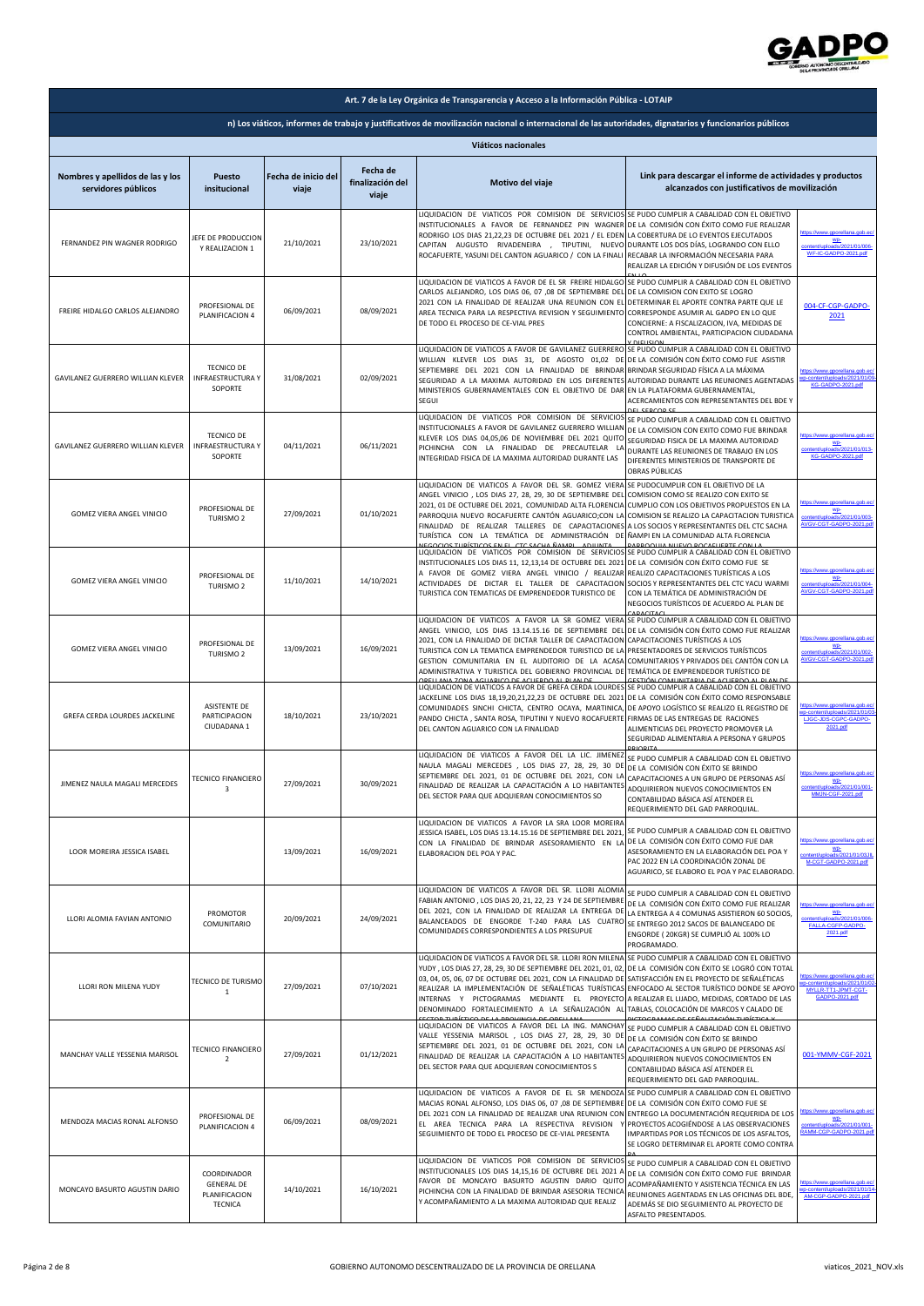

| Art. 7 de la Ley Orgánica de Transparencia y Acceso a la Información Pública - LOTAIP                                                                  |                                                                     |                              |                                       |                                                                                                                                                                                                                                                                                                                                                                                                                                                                                                                                     |                                                                                                                                                                                                                                                                     |                                                                                                      |  |
|--------------------------------------------------------------------------------------------------------------------------------------------------------|---------------------------------------------------------------------|------------------------------|---------------------------------------|-------------------------------------------------------------------------------------------------------------------------------------------------------------------------------------------------------------------------------------------------------------------------------------------------------------------------------------------------------------------------------------------------------------------------------------------------------------------------------------------------------------------------------------|---------------------------------------------------------------------------------------------------------------------------------------------------------------------------------------------------------------------------------------------------------------------|------------------------------------------------------------------------------------------------------|--|
| n) Los viáticos, informes de trabajo y justificativos de movilización nacional o internacional de las autoridades, dignatarios y funcionarios públicos |                                                                     |                              |                                       |                                                                                                                                                                                                                                                                                                                                                                                                                                                                                                                                     |                                                                                                                                                                                                                                                                     |                                                                                                      |  |
| Viáticos nacionales                                                                                                                                    |                                                                     |                              |                                       |                                                                                                                                                                                                                                                                                                                                                                                                                                                                                                                                     |                                                                                                                                                                                                                                                                     |                                                                                                      |  |
| Nombres y apellidos de las y los<br>servidores públicos                                                                                                | Puesto<br>insitucional                                              | Fecha de inicio del<br>viaje | Fecha de<br>finalización del<br>viaje | Motivo del viaje                                                                                                                                                                                                                                                                                                                                                                                                                                                                                                                    | Link para descargar el informe de actividades y productos<br>alcanzados con justificativos de movilización                                                                                                                                                          |                                                                                                      |  |
| FERNANDEZ PIN WAGNER RODRIGO                                                                                                                           | JEFE DE PRODUCCION<br>Y REALIZACION 1                               | 21/10/2021                   | 23/10/2021                            | LIQUIDACION DE VIATICOS POR COMISION DE SERVICIOS SE PUDO CUMPLIR A CABALIDAD CON EL OBJETIVO<br>INSTITUCIONALES A FAVOR DE FERNANDEZ PIN WAGNER DE LA COMISIÓN CON ÉXITO COMO FUE REALIZAR<br>RODRIGO LOS DIAS 21,22,23 DE OCTUBRE DEL 2021 / EL EDEN LA COBERTURA DE LO EVENTOS EJECUTADOS<br>CAPITAN AUGUSTO RIVADENEIRA , TIPUTINI, NUEVO DURANTE LOS DOS DÍAS, LOGRANDO CON ELLO<br>ROCAFUERTE, YASUNI DEL CANTON AGUARICO / CON LA FINALI                                                                                     | RECABAR LA INFORMACIÓN NECESARIA PARA<br>REALIZAR LA EDICIÓN Y DIFUSIÓN DE LOS EVENTOS                                                                                                                                                                              | tps://www.gporellana.gob.ec<br><u>wp-</u><br>ads/2021/01/006-<br>WF-IC-GADPO-2021.pdf                |  |
| FREIRE HIDALGO CARLOS ALEJANDRO                                                                                                                        | PROFESIONAL DE<br>PLANIFICACION 4                                   | 06/09/2021                   | 08/09/2021                            | LIQUIDACION DE VIATICOS A FAVOR DE EL SR FREIRE HIDALGO SE PUDO CUMPLIR A CABALIDAD CON EL OBJETIVO<br>CARLOS ALEJANDRO, LOS DIAS 06, 07 ,08 DE SEPTIEMBRE DEL<br>2021 CON LA FINALIDAD DE REALIZAR UNA REUNION CON EL<br>AREA TECNICA PARA LA RESPECTIVA REVISION Y SEGUIMIENTO CORRESPONDE ASUMIR AL GADPO EN LO QUE<br>DE TODO EL PROCESO DE CE-VIAL PRES                                                                                                                                                                        | DE LA COMISION CON EXITO SE LOGRO<br>DETERMINAR EL APORTE CONTRA PARTE QUE LE<br>CONCIERNE: A FISCALIZACION, IVA, MEDIDAS DE<br>CONTROL AMBIENTAL, PARTICIPACION CIUDADANA                                                                                          | 004-CF-CGP-GADPO-<br>2021                                                                            |  |
| GAVILANEZ GUERRERO WILLIAN KLEVER                                                                                                                      | <b>TECNICO DE</b><br><b>INFRAESTRUCTURA Y</b><br>SOPORTE            | 31/08/2021                   | 02/09/2021                            | LIQUIDACION DE VIATICOS A FAVOR DE GAVILANEZ GUERRERO SE PUDO CUMPLIR A CABALIDAD CON EL OBJETIVO<br>WILLIAN KLEVER LOS DIAS 31, DE AGOSTO 01,02 DE DE LA COMISIÓN CON ÉXITO COMO FUE ASISTIR<br>SEPTIEMBRE DEL 2021 CON LA FINALIDAD DE BRINDAR BRINDAR SEGURIDAD FÍSICA A LA MÁXIMA<br>SEGURIDAD A LA MAXIMA AUTORIDAD EN LOS DIFERENTES<br>MINISTERIOS GUBERNAMENTALES CON EL OBJETIVO DE DAR<br>SEGUI                                                                                                                           | AUTORIDAD DURANTE LAS REUNIONES AGENTADAS<br>EN LA PLATAFORMA GUBERNAMENTAL,<br>ACERCAMIENTOS CON REPRESENTANTES DEL BDE Y                                                                                                                                          | ttps://www.gporellana.gob.ec<br>content/unloads/2021/01/0<br>KG-GADPO-2021 n/f                       |  |
| GAVILANEZ GUERRERO WILLIAN KLEVER                                                                                                                      | <b>TECNICO DE</b><br><b>INFRAESTRUCTURA Y</b><br>SOPORTE            | 04/11/2021                   | 06/11/2021                            | LIQUIDACION DE VIATICOS POR COMISION DE SERVICIOS<br>INSTITUCIONALES A FAVOR DE GAVILANEZ GUERRERO WILLIAN<br>KLEVER LOS DIAS 04,05,06 DE NOVIEMBRE DEL 2021 QUITO<br>PICHINCHA CON LA FINALIDAD DE PRECAUTELAR LA<br>INTEGRIDAD FISICA DE LA MAXIMA AUTORIDAD DURANTE LAS                                                                                                                                                                                                                                                          | SE PUDO CUMPLIR A CABALIDAD CON EL OBJETIVO<br>DE LA COMISION CON EXITO COMO FUE BRINDAR<br>SEGURIDAD FISICA DE LA MAXIMA AUTORIDAD<br>DURANTE LAS REUNIONES DE TRABAJO EN LOS<br>DIFERENTES MINISTERIOS DE TRANSPORTE DE<br>OBRAS PÚBLICAS                         | WP-<br>ontent/uploads/2021/01/013-<br>KG-GADPO-2021.pdf                                              |  |
| GOMEZ VIERA ANGEL VINICIO                                                                                                                              | PROFESIONAL DE<br>TURISMO <sub>2</sub>                              | 27/09/2021                   | 01/10/2021                            | LIQUIDACION DE VIATICOS A FAVOR DEL SR. GOMEZ VIERA<br>ANGEL VINICIO, LOS DIAS 27, 28, 29, 30 DE SEPTIEMBRE DEL COMISION COMO SE REALIZO CON EXITO SE<br>2021, 01 DE OCTUBRE DEL 2021, COMUNIDAD ALTA FLORENCIA CUMPLIO CON LOS OBJETIVOS PROPUESTOS EN LA<br>PARROQUIA NUEVO ROCAFUERTE CANTÓN AGUARICO;CON LA<br>FINALIDAD DE REALIZAR TALLERES DE CAPACITACIONES<br>TURÍSTICA CON LA TEMÁTICA DE ADMINISTRACIÓN DE ÑAMPI EN LA COMUNIDAD ALTA FLORENCIA                                                                          | SE PUDOCUMPLIR CON EL OBJETIVO DE LA<br>COMISION SE REALIZO LA CAPACITACION TURISTICA<br>A LOS SOCIOS Y REPRESENTANTES DEL CTC SACHA                                                                                                                                | wp-<br>content/uploads/2021/01/003-<br>VGV-CGT-GADPO-2021.pd                                         |  |
| GOMEZ VIERA ANGEL VINICIO                                                                                                                              | PROFESIONAL DE<br>TURISMO <sub>2</sub>                              | 11/10/2021                   | 14/10/2021                            | LIQUIDACION DE VIATICOS POR COMISION DE SERVICIOS SE PUDO CUMPLIR A CABALIDAD CON EL OBJETIVO<br>INSTITUCIONALES LOS DIAS 11, 12,13,14 DE OCTUBRE DEL 2021 DE LA COMISIÓN CON ÉXITO COMO FUE SE<br>A FAVOR DE GOMEZ VIERA ANGEL VINICIO / REALIZAR REALIZO CAPACITACIONES TURÍSTICAS A LOS<br>ACTIVIDADES DE DICTAR EL TALLER DE CAPACITACION SOCIOS Y REPRESENTANTES DEL CTC YACU WARMI<br>TURISTICA CON TEMATICAS DE EMPRENDEDOR TURISTICO DE                                                                                     | CON LA TEMÁTICA DE ADMINISTRACIÓN DE<br>NEGOCIOS TURÍSTICOS DE ACUERDO AL PLAN DE                                                                                                                                                                                   | tps://www.gporellana.gob.ec<br>WP-<br>pads/2021/01/004-<br>VGV-CGT-GADPO-2021.pd                     |  |
| GOMEZ VIERA ANGEL VINICIO                                                                                                                              | PROFESIONAL DE<br>TURISMO <sub>2</sub>                              | 13/09/2021                   | 16/09/2021                            | LIQUIDACION DE VIATICOS A FAVOR LA SR GOMEZ VIERA SE PUDO CUMPLIR A CABALIDAD CON EL OBJETIVO<br>ANGEL VINICIO, LOS DIAS 13.14.15.16 DE SEPTIEMBRE DEL DE LA COMISIÓN CON ÉXITO COMO FUE REALIZAR<br>2021, CON LA FINALIDAD DE DICTAR TALLER DE CAPACITACION CAPACITACIONES TURÍSTICAS A LOS<br>TURISTICA CON LA TEMATICA EMPRENDEDOR TURISTICO DE LA<br>GESTION COMUNITARIA EN EL AUDITORIO DE LA ACASA<br>ADMINISTRATIVA Y TURISTICA DEL GOBIERNO PROVINCIAL DE<br><b>DELLANA ZONA ACLIABICO DE ACLIERDO AL BLAN DI</b>           | ADACITAC<br>PRESENTADORES DE SERVICIOS TURÍSTICOS<br>COMUNITARIOS Y PRIVADOS DEL CANTÓN CON LA<br>TEMÁTICA DE EMPRENDEDOR TURÍSTICO DE<br>ECTIÓN COMUNITARIA DE ACUERDO AI                                                                                          | tos://www.gporellana.gob.ec<br>wp-<br>ads/2021/01/002-<br>content/u<br>VGV-CGT-GADPO-2021.pd         |  |
| GREFA CERDA LOURDES JACKELINE                                                                                                                          | ASISTENTE DE<br>PARTICIPACION<br>CIUDADANA 1                        | 18/10/2021                   | 23/10/2021                            | LIQUIDACION DE VIATICOS A FAVOR DE GREFA CERDA LOURDES<br>JACKELINE LOS DIAS 18,19,20,21,22,23 DE OCTUBRE DEL 2021<br>COMUNIDADES SINCHI CHICTA, CENTRO OCAYA, MARTINICA,<br>PANDO CHICTA, SANTA ROSA, TIPUTINI Y NUEVO ROCAFUERTE<br>DEL CANTON AGUARICO CON LA FINALIDAD                                                                                                                                                                                                                                                          | SE PUDO CUMPLIR A CABALIDAD CON EL OBJETIVO<br>DE LA COMISIÓN CON ÉXITO COMO RESPONSABLE<br>DE APOYO LOGÍSTICO SE REALIZO EL REGISTRO DE<br>FIRMAS DE LAS ENTREGAS DE RACIONES<br>ALIMENTICIAS DEL PROYECTO PROMOVER LA<br>SEGURIDAD ALIMENTARIA A PERSONA Y GRUPOS | tps://www.gporellana.gob.ec<br>nt/uploads/2021/01/0<br>LJGC-JDS-CGPC-GADPO<br>2021.pdf               |  |
| JIMENEZ NAULA MAGALI MERCEDES                                                                                                                          | <b>TECNICO FINANCIERO</b><br>3                                      | 27/09/2021                   | 30/09/2021                            | LIQUIDACION DE VIATICOS A FAVOR DEL LA LIC. JIMENEZ<br>NAULA MAGALI MERCEDES , LOS DIAS 27, 28, 29, 30 DE<br>SEPTIEMBRE DEL 2021, 01 DE OCTUBRE DEL 2021, CON LA<br>FINALIDAD DE REALIZAR LA CAPACITACIÓN A LO HABITANTES ADQUIRIERON NUEVOS CONOCIMIENTOS EN<br>DEL SECTOR PARA QUE ADQUIERAN CONOCIMIENTOS SO                                                                                                                                                                                                                     | SE PUDO CUMPLIR A CABALIDAD CON EL OBJETIVO<br>DE LA COMISIÓN CON ÉXITO SE BRINDO<br>CAPACITACIONES A UN GRUPO DE PERSONAS ASÍ<br>CONTABILIDAD BÁSICA ASÍ ATENDER EL<br>REQUERIMIENTO DEL GAD PARROQUIAL.                                                           | ttps://www.gporellana.gob.ec<br>content/uploads/2021/01/001-<br>MMJN-CGF-2021.pdf                    |  |
| LOOR MOREIRA JESSICA ISABEL                                                                                                                            |                                                                     | 13/09/2021                   | 16/09/2021                            | LIQUIDACION DE VIATICOS A FAVOR LA SRA LOOR MOREIRA<br>JESSICA ISABEL, LOS DIAS 13.14.15.16 DE SEPTIEMBRE DEL 2021,<br>CON LA FINALIDAD DE BRINDAR ASESORAMIENTO EN LA DE LA COMISIÓN CON ÉXITO COMO FUE DAR<br>ELABORACION DEL POA Y PAC.                                                                                                                                                                                                                                                                                          | SE PUDO CUMPLIR A CABALIDAD CON EL OBJETIVO<br>ASESORAMIENTO EN LA ELABORACIÓN DEL POA Y<br>PAC 2022 EN LA COORDINACIÓN ZONAL DE<br>AGUARICO, SE ELABORO EL POA Y PAC ELABORADO.                                                                                    | WP-<br>ntent/uploads/2021/01/03JIL<br>M-CGT-GADPO-2021.pdf                                           |  |
| LLORI ALOMIA FAVIAN ANTONIO                                                                                                                            | PROMOTOR<br>COMUNITARIO                                             | 20/09/2021                   | 24/09/2021                            | LIQUIDACION DE VIATICOS A FAVOR DEL SR. LLORI ALOMIA<br>FABIAN ANTONIO, LOS DIAS 20, 21, 22, 23 Y 24 DE SEPTIEMBRE<br>DEL 2021, CON LA FINALIDAD DE REALIZAR LA ENTREGA DE<br>BALANCEADOS DE ENGORDE T-240 PARA LAS CUATRO<br>COMUNIDADES CORRESPONDIENTES A LOS PRESUPUE                                                                                                                                                                                                                                                           | SE PUDO CUMPLIR A CABALIDAD CON EL OBJETIVO<br>DE LA COMISIÓN CON ÉXITO COMO FUE REALIZAR<br>LA ENTREGA A 4 COMUNAS ASISTIERON 60 SOCIOS,<br>SE ENTREGO 2012 SACOS DE BALANCEADO DE<br>ENGORDE (20KGR) SE CUMPLIÓ AL 100% LO<br>PROGRAMADO.                         | ttps://www.gporellana.gob.ec<br>WP-<br>ads/2021/01/006-<br>FALLA-CGFP-GADPO-<br>2021.pdf             |  |
| LLORI RON MILENA YUDY                                                                                                                                  | TECNICO DE TURISMO<br>$\mathbf{1}$                                  | 27/09/2021                   | 07/10/2021                            | LIQUIDACION DE VIATICOS A FAVOR DEL SR. LLORI RON MILENA SE PUDO CUMPLIR A CABALIDAD CON EL OBJETIVO<br>YUDY, LOS DIAS 27, 28, 29, 30 DE SEPTIEMBRE DEL 2021, 01, 02,<br>03, 04, 05, 06, 07 DE OCTUBRE DEL 2021, CON LA FINALIDAD DE<br>REALIZAR LA IMPLEMENTACIÓN DE SEÑALÉTICAS TURÍSTICAS ENFOCADO AL SECTOR TURÍSTICO DONDE SE APOYO<br>INTERNAS Y PICTOGRAMAS MEDIANTE EL PROYECTO A REALIZAR EL LIJADO, MEDIDAS, CORTADO DE LAS<br>DENOMINADO FORTALECIMIENTO A LA SEÑALIZACIÓN AL<br>ECTOR THRÍCTICO DE LA RROVINCIA DE OREI | DE LA COMISIÓN CON ÉXITO SE LOGRÓ CON TOTAL<br>SATISFACCIÓN EN EL PROYECTO DE SEÑALÉTICAS<br>TABLAS, COLOCACIÓN DE MARCOS Y CALADO DE<br>AMAS DE CEÑALIZACIÓN TUDÍCTICI                                                                                             | ttps://www.gporellana.gob.ec<br>o-content/uploads/2021/01/0<br>MYLLR-TT1-JPMT-CGT-<br>GADPO-2021.pdf |  |
| MANCHAY VALLE YESSENIA MARISOL                                                                                                                         | TECNICO FINANCIERO<br>$\overline{2}$                                | 27/09/2021                   | 01/12/2021                            | LIQUIDACION DE VIATICOS A FAVOR DEL LA ING. MANCHAY SE PUDO CUMPLIR A CABALIDAD CON EL OBJETIVO<br>VALLE YESSENIA MARISOL , LOS DIAS 27, 28, 29, 30 DE<br>SEPTIEMBRE DEL 2021, 01 DE OCTUBRE DEL 2021, CON LA<br>FINALIDAD DE REALIZAR LA CAPACITACIÓN A LO HABITANTES<br>DEL SECTOR PARA QUE ADQUIERAN CONOCIMIENTOS S                                                                                                                                                                                                             | DE LA COMISIÓN CON ÉXITO SE BRINDO<br>CAPACITACIONES A UN GRUPO DE PERSONAS ASÍ<br>ADQUIRIERON NUEVOS CONOCIMIENTOS EN<br>CONTABILIDAD BÁSICA ASÍ ATENDER EL<br>REQUERIMIENTO DEL GAD PARROQUIAL.                                                                   | 001-YMMV-CGF-2021                                                                                    |  |
| MENDOZA MACIAS RONAL ALFONSO                                                                                                                           | PROFESIONAL DE<br>PLANIFICACION 4                                   | 06/09/2021                   | 08/09/2021                            | LIQUIDACION DE VIATICOS A FAVOR DE EL SR MENDOZA SE PUDO CUMPLIR A CABALIDAD CON EL OBJETIVO<br>MACIAS RONAL ALFONSO, LOS DIAS 06, 07 ,08 DE SEPTIEMBRE DE LA COMISIÓN CON ÉXITO COMO FUE SE<br>DEL 2021 CON LA FINALIDAD DE REALIZAR UNA REUNION CON ENTREGO LA DOCUMENTACIÓN REQUERIDA DE LOS<br>EL AREA TECNICA PARA LA RESPECTIVA REVISION<br>SEGUIMIENTO DE TODO EL PROCESO DE CE-VIAL PRESENTA                                                                                                                                | PROYECTOS ACOGIÉNDOSE A LAS OBSERVACIONES<br>IMPARTIDAS POR LOS TÉCNICOS DE LOS ASFALTOS,<br>SE LOGRO DETERMINAR EL APORTE COMO CONTRA                                                                                                                              | ttps://www.gporellana.gob.ec<br>ade/2<br>21/01/001<br>RAMM-CGP-GADPO-2021.pd                         |  |
| MONCAYO BASURTO AGUSTIN DARIO                                                                                                                          | COORDINADOR<br><b>GENERAL DE</b><br>PLANIFICACION<br><b>TECNICA</b> | 14/10/2021                   | 16/10/2021                            | LIQUIDACION DE VIATICOS POR COMISION DE SERVICIOS<br>INSTITUCIONALES LOS DIAS 14,15,16 DE OCTUBRE DEL 2021 A<br>FAVOR DE MONCAYO BASURTO AGUSTIN DARIO QUITO<br>PICHINCHA CON LA FINALIDAD DE BRINDAR ASESORIA TECNICA<br>Y ACOMPAÑAMIENTO A LA MAXIMA AUTORIDAD QUE REALIZ                                                                                                                                                                                                                                                         | SE PUDO CUMPLIR A CABALIDAD CON EL OBJETIVO<br>DE LA COMISIÓN CON ÉXITO COMO FUE BRINDAR<br>ACOMPAÑAMIENTO Y ASISTENCIA TÉCNICA EN LAS<br>REUNIONES AGENTADAS EN LAS OFICINAS DEL BDE,<br>ADEMÁS SE DIO SEGUIMIENTO AL PROYECTO DE<br>ASFALTO PRESENTADOS.          | -content/uploads/2021/01/1<br>AM-CGP-GADPO-2021.pdf                                                  |  |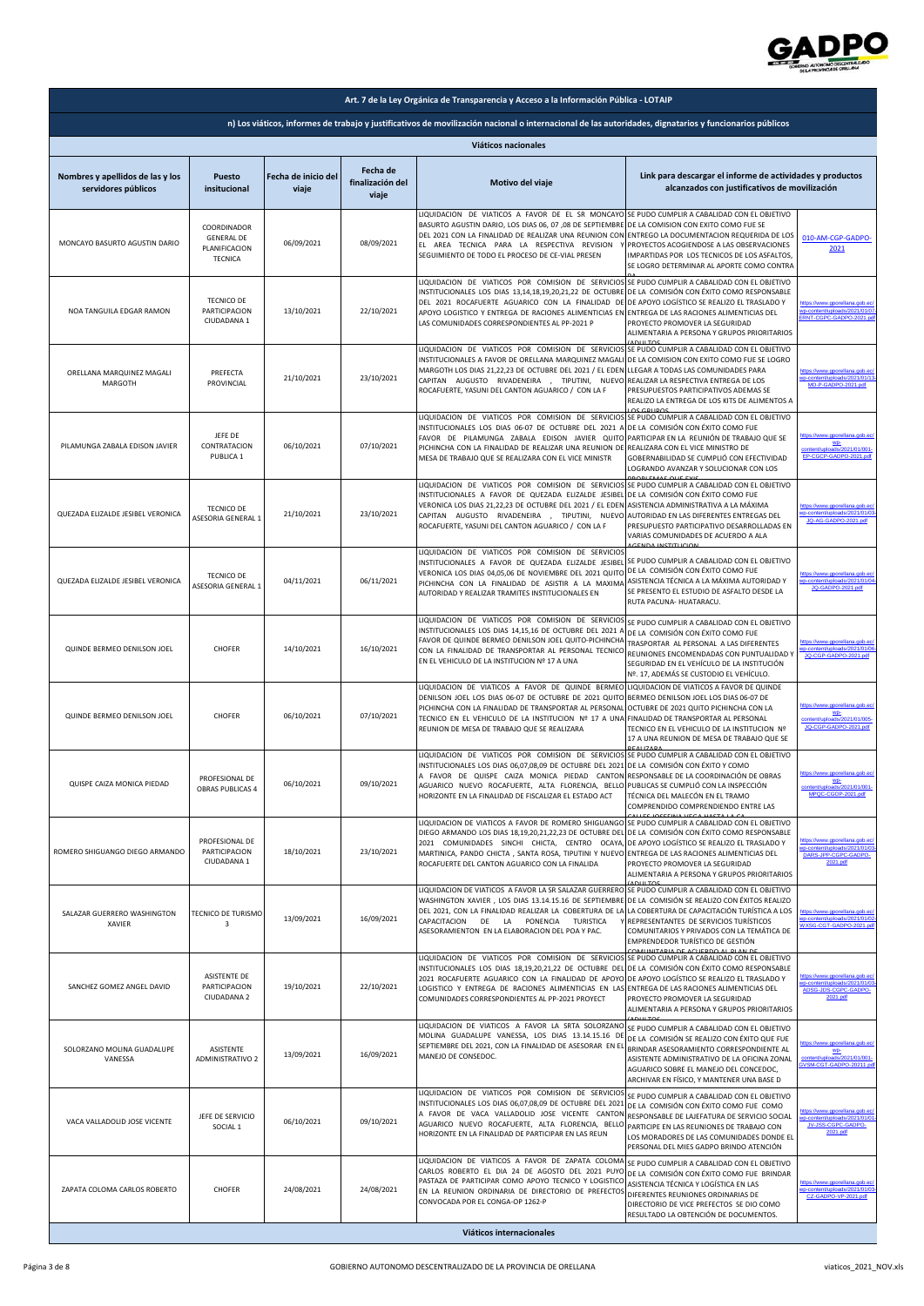

| Art. 7 de la Ley Orgánica de Transparencia y Acceso a la Información Pública - LOTAIP |                                                                                                                                                        |                              |                                       |                                                                                                                                                                                                                                                                                                                                                                                                                                      |                                                                                                                                                                                                                                                                                      |                                                                                                |  |  |
|---------------------------------------------------------------------------------------|--------------------------------------------------------------------------------------------------------------------------------------------------------|------------------------------|---------------------------------------|--------------------------------------------------------------------------------------------------------------------------------------------------------------------------------------------------------------------------------------------------------------------------------------------------------------------------------------------------------------------------------------------------------------------------------------|--------------------------------------------------------------------------------------------------------------------------------------------------------------------------------------------------------------------------------------------------------------------------------------|------------------------------------------------------------------------------------------------|--|--|
|                                                                                       | n) Los viáticos, informes de trabajo y justificativos de movilización nacional o internacional de las autoridades, dignatarios y funcionarios públicos |                              |                                       |                                                                                                                                                                                                                                                                                                                                                                                                                                      |                                                                                                                                                                                                                                                                                      |                                                                                                |  |  |
| Viáticos nacionales                                                                   |                                                                                                                                                        |                              |                                       |                                                                                                                                                                                                                                                                                                                                                                                                                                      |                                                                                                                                                                                                                                                                                      |                                                                                                |  |  |
| Nombres y apellidos de las y los<br>servidores públicos                               | Puesto<br>insitucional                                                                                                                                 | Fecha de inicio del<br>viaje | Fecha de<br>finalización del<br>viaje | Motivo del viaje                                                                                                                                                                                                                                                                                                                                                                                                                     | Link para descargar el informe de actividades y productos<br>alcanzados con justificativos de movilización                                                                                                                                                                           |                                                                                                |  |  |
| MONCAYO BASURTO AGUSTIN DARIO                                                         | COORDINADOR<br><b>GENERAL DE</b><br>PLANIFICACION<br><b>TECNICA</b>                                                                                    | 06/09/2021                   | 08/09/2021                            | LIQUIDACION DE VIATICOS A FAVOR DE EL SR MONCAYO<br>BASURTO AGUSTIN DARIO, LOS DIAS 06, 07,08 DE SEPTIEMBRE<br>DEL 2021 CON LA FINALIDAD DE REALIZAR UNA REUNION CON<br>EL AREA TECNICA PARA LA RESPECTIVA REVISION<br>SEGUIMIENTO DE TODO EL PROCESO DE CE-VIAL PRESEN                                                                                                                                                              | SE PUDO CUMPLIR A CABALIDAD CON EL OBJETIVO<br>DE LA COMISION CON EXITO COMO FUE SE<br>ENTREGO LA DOCUMENTACION REQUERIDA DE LOS<br>PROYECTOS ACOGIENDOSE A LAS OBSERVACIONES<br>IMPARTIDAS POR LOS TECNICOS DE LOS ASFALTOS,<br>SE LOGRO DETERMINAR AL APORTE COMO CONTRA           | 010-AM-CGP-GADPO-<br>2021                                                                      |  |  |
| NOA TANGUILA EDGAR RAMON                                                              | <b>TECNICO DE</b><br>PARTICIPACION<br>CIUDADANA 1                                                                                                      | 13/10/2021                   | 22/10/2021                            | LIQUIDACION DE VIATICOS POR COMISION DE SERVICIOS SE PUDO CUMPLIR A CABALIDAD CON EL OBJETIVO<br>INSTITUCIONALES LOS DIAS 13,14,18,19,20,21,22 DE OCTUBRE<br>DEL 2021 ROCAFUERTE AGUARICO CON LA FINALIDAD DI<br>APOYO LOGISTICO Y ENTREGA DE RACIONES ALIMENTICIAS EN<br>LAS COMUNIDADES CORRESPONDIENTES AL PP-2021 P                                                                                                              | DE LA COMISIÓN CON ÉXITO COMO RESPONSABLE<br>DE APOYO LOGÍSTICO SE REALIZO EL TRASLADO Y<br>ENTREGA DE LAS RACIONES ALIMENTICIAS DEL<br>PROYECTO PROMOVER LA SEGURIDAD<br>ALIMENTARIA A PERSONA Y GRUPOS PRIORITARIOS                                                                | ps://www.gporellana.gob.ec<br>p-content/uploads/2021/01/07<br>INT-CGPC-GADPO-2021 or           |  |  |
| ORELLANA MARQUINEZ MAGALI<br>MARGOTH                                                  | PREFECTA<br>PROVINCIAL                                                                                                                                 | 21/10/2021                   | 23/10/2021                            | LIQUIDACION DE VIATICOS POR COMISION DE SERVICIOS<br>INSTITUCIONALES A FAVOR DE ORELLANA MARQUINEZ MAGAL<br>MARGOTH LOS DIAS 21,22,23 DE OCTUBRE DEL 2021 / EL EDEN<br>CAPITAN AUGUSTO RIVADENEIRA , TIPUTINI, NUEVO<br>ROCAFUERTE, YASUNI DEL CANTON AGUARICO / CON LA F                                                                                                                                                            | <b>VOLUTO</b><br>SE PUDO CUMPLIR A CABALIDAD CON EL OBJETIVO<br>DE LA COMISION CON EXITO COMO FUE SE LOGRO<br>LLEGAR A TODAS LAS COMUNIDADES PARA<br>REALIZAR LA RESPECTIVA ENTREGA DE LOS<br>PRESUPUESTOS PARTICIPATIVOS ADEMAS SE<br>REALIZO LA ENTREGA DE LOS KITS DE ALIMENTOS A | tps://www.gporellana.gob.ec<br>-content/uploads/2021/01/1<br>MO-P-GADPO-2021 ndf               |  |  |
| PILAMUNGA ZABALA EDISON JAVIER                                                        | JEFE DE<br>CONTRATACION<br>PUBLICA 1                                                                                                                   | 06/10/2021                   | 07/10/2021                            | LIQUIDACION DE VIATICOS POR COMISION DE SERVICIOS<br>INSTITUCIONALES LOS DIAS 06-07 DE OCTUBRE DEL 2021 A<br>FAVOR DE PILAMUNGA ZABALA EDISON JAVIER QUITC<br>PICHINCHA CON LA FINALIDAD DE REALIZAR UNA REUNION DE<br>MESA DE TRABAJO QUE SE REALIZARA CON EL VICE MINISTR                                                                                                                                                          | SE PUDO CUMPLIR A CABALIDAD CON EL OBJETIVO<br>DE LA COMISIÓN CON ÉXITO COMO FUE<br>PARTICIPAR EN LA REUNIÓN DE TRABAJO QUE SE<br>REALIZARA CON EL VICE MINISTRO DE<br>GOBERNABILIDAD SE CUMPLIÓ CON EFECTIVIDAD<br>LOGRANDO AVANZAR Y SOLUCIONAR CON LOS                            | WP-<br>ontent/uploads/2021/01/001<br>EP-CGCP-GADPO-2021.pdf                                    |  |  |
| QUEZADA ELIZALDE JESIBEL VERONICA                                                     | <b>TECNICO DE</b><br>ASESORIA GENERAL 1                                                                                                                | 21/10/2021                   | 23/10/2021                            | LIQUIDACION DE VIATICOS POR COMISION DE SERVICIOS<br>INSTITUCIONALES A FAVOR DE QUEZADA ELIZALDE JESIBEL<br>VERONICA LOS DIAS 21,22,23 DE OCTUBRE DEL 2021 / EL EDEN<br>CAPITAN AUGUSTO RIVADENEIRA , TIPUTINI, NUEVO<br>ROCAFUERTE, YASUNI DEL CANTON AGUARICO / CON LA F                                                                                                                                                           | SE PUDO CUMPLIR A CABALIDAD CON EL OBJETIVO<br>DE LA COMISIÓN CON ÉXITO COMO FUE<br>ASISTENCIA ADMINISTRATIVA A LA MÁXIMA<br>AUTORIDAD EN LAS DIFERENTES ENTREGAS DEL<br>PRESUPUESTO PARTICIPATIVO DESARROLLADAS EN<br>VARIAS COMUNIDADES DE ACUERDO A ALA                           | ttps://www.gporellana.gob.ec<br>p-content/uploads/2021/01/0<br>JQ-AG-GADPO-2021.pdf            |  |  |
| QUEZADA ELIZALDE JESIBEL VERONICA                                                     | TECNICO DE<br>ASESORIA GENERAL 1                                                                                                                       | 04/11/2021                   | 06/11/2021                            | LIQUIDACION DE VIATICOS POR COMISION DE SERVICIOS<br>INSTITUCIONALES A FAVOR DE QUEZADA ELIZALDE JESIBEL<br>VERONICA LOS DIAS 04,05,06 DE NOVIEMBRE DEL 2021 QUITC<br>PICHINCHA CON LA FINALIDAD DE ASISTIR A LA MAXIMA<br>AUTORIDAD Y REALIZAR TRAMITES INSTITUCIONALES EN                                                                                                                                                          | SE PUDO CUMPLIR A CABALIDAD CON EL OBJETIVO<br>DE LA COMISIÓN CON ÉXITO COMO FUE<br>ASISTENCIA TÉCNICA A LA MÁXIMA AUTORIDAD Y<br>SE PRESENTO EL ESTUDIO DE ASFALTO DESDE LA<br>RUTA PACUNA- HUATARACU.                                                                              | tos://www.goorellana.gob.ec<br>p-content/uploads/2021/01/04<br>JQ-GADPO-2021.pdf               |  |  |
| QUINDE BERMEO DENILSON JOEL                                                           | CHOFER                                                                                                                                                 | 14/10/2021                   | 16/10/2021                            | LIQUIDACION DE VIATICOS POR COMISION DE SERVICIOS<br>INSTITUCIONALES LOS DIAS 14,15,16 DE OCTUBRE DEL 2021 A<br>FAVOR DE QUINDE BERMEO DENILSON JOEL QUITO-PICHINCHA<br>CON LA FINALIDAD DE TRANSPORTAR AL PERSONAL TECNICO<br>EN EL VEHICULO DE LA INSTITUCION Nº 17 A UNA                                                                                                                                                          | SE PUDO CUMPLIR A CABALIDAD CON EL OBJETIVO<br>DE LA COMISIÓN CON ÉXITO COMO FUE<br>TRASPORTAR AL PERSONAL A LAS DIFERENTES<br>REUNIONES ENCOMENDADAS CON PUNTUALIDAD Y<br>SEGURIDAD EN EL VEHÍCULO DE LA INSTITUCIÓN<br>Nº. 17, ADEMÁS SE CUSTODIO EL VEHÍCULO.                     | tos://www.gporellana.gob.ec<br>p-content/uploads/2021/01/0<br>JQ-CGP-GADPO-2021.pdf            |  |  |
| QUINDE BERMEO DENILSON JOEL                                                           | CHOFER                                                                                                                                                 | 06/10/2021                   | 07/10/2021                            | LIQUIDACION DE VIATICOS A FAVOR DE QUINDE BERMEO<br>DENILSON JOEL LOS DIAS 06-07 DE OCTUBRE DE 2021 QUITO<br>PICHINCHA CON LA FINALIDAD DE TRANSPORTAR AL PERSONAL<br>TECNICO EN EL VEHICULO DE LA INSTITUCION Nº 17 A UNA<br>REUNION DE MESA DE TRABAJO QUE SE REALIZARA                                                                                                                                                            | LIQUIDACION DE VIATICOS A FAVOR DE QUINDE<br>BERMEO DENILSON JOEL LOS DIAS 06-07 DE<br>OCTUBRE DE 2021 QUITO PICHINCHA CON LA<br>FINALIDAD DE TRANSPORTAR AL PERSONAL<br>TECNICO EN EL VEHICULO DE LA INSTITUCION Nº<br>17 A UNA REUNION DE MESA DE TRABAJO QUE SE                   | tps://www.gporellana.gob.ec<br>WP-<br>21/01/005<br>JQ-CGP-GADPO-2021.pdf                       |  |  |
| QUISPE CAIZA MONICA PIEDAD                                                            | PROFESIONAL DE<br>OBRAS PUBLICAS 4                                                                                                                     | 06/10/2021                   | 09/10/2021                            | LIQUIDACION DE VIATICOS POR COMISION DE SERVICIOS SE PUDO CUMPLIR A CABALIDAD CON EL OBJETIVO<br>INSTITUCIONALES LOS DIAS 06,07,08,09 DE OCTUBRE DEL 2021 DE LA COMISIÓN CON ÉXITO Y COMO<br>A FAVOR DE QUISPE CAIZA MONICA PIEDAD CANTON RESPONSABLE DE LA COORDINACIÓN DE OBRAS<br>AGUARICO NUEVO ROCAFUERTE, ALTA FLORENCIA, BELLO PUBLICAS SE CUMPLIÓ CON LA INSPECCIÓN<br>HORIZONTE EN LA FINALIDAD DE FISCALIZAR EL ESTADO ACT | TÉCNICA DEL MALECÓN EN EL TRAMO<br>COMPRENDIDO COMPRENDIENDO ENTRE LAS                                                                                                                                                                                                               | ps://www.gporellana.gob.ec<br>:ontent/uploads/2021/01/001<br>MPOC-CGOP-2021 ndf                |  |  |
| ROMERO SHIGUANGO DIEGO ARMANDO                                                        | PROFESIONAL DE<br>PARTICIPACION<br>CIUDADANA 1                                                                                                         | 18/10/2021                   | 23/10/2021                            | LIQUIDACION DE VIATICOS A FAVOR DE ROMERO SHIGUANGO SE PUDO CUMPLIR A CABALIDAD CON EL OBJETIVO<br>DIEGO ARMANDO LOS DIAS 18,19,20,21,22,23 DE OCTUBRE DEL<br>2021 COMUNIDADES SINCHI CHICTA, CENTRO OCAYA,<br>MARTINICA, PANDO CHICTA, SANTA ROSA, TIPUTINI Y NUEVO ENTREGA DE LAS RACIONES ALIMENTICIAS DEL<br>ROCAFUERTE DEL CANTON AGUARICO CON LA FINALIDA                                                                      | DE LA COMISIÓN CON ÉXITO COMO RESPONSABLE<br>DE APOYO LOGÍSTICO SE REALIZO EL TRASLADO Y<br>PROYECTO PROMOVER LA SEGURIDAD<br>ALIMENTARIA A PERSONA Y GRUPOS PRIORITARIOS<br>ADULTO:                                                                                                 | na.oob.er<br>-content/uploads/2021/01/03<br>DARS-JPP-CGPC-GADPO-<br>2021.pdf                   |  |  |
| SALAZAR GUERRERO WASHINGTON<br><b>XAVIER</b>                                          | TECNICO DE TURISMO<br>3                                                                                                                                | 13/09/2021                   | 16/09/2021                            | LIQUIDACION DE VIATICOS A FAVOR LA SR SALAZAR GUERRERO SE PUDO CUMPLIR A CABALIDAD CON EL OBJETIVO<br>WASHINGTON XAVIER, LOS DIAS 13.14.15.16 DE SEPTIEMBRE<br>DEL 2021, CON LA FINALIDAD REALIZAR LA COBERTURA DE LA<br>CAPACITACION DE LA PONENCIA TURISTICA<br>ASESORAMIENTON EN LA ELABORACION DEL POA Y PAC.                                                                                                                    | DE LA COMISIÓN SE REALIZO CON ÉXITOS REALIZO<br>LA COBERTURA DE CAPACITACIÓN TURÍSTICA A LOS<br>REPRESENTANTES DE SERVICIOS TURÍSTICOS<br>COMUNITARIOS Y PRIVADOS CON LA TEMÁTICA DE<br>EMPRENDEDOR TURÍSTICO DE GESTIÓN<br>INITADIA DE ACUEDDO AL DI ANI                            | gporellana.gob.et<br>p-content/uploads/2021/01/02<br>VXSG-CGT-GADPO-2021.pdf                   |  |  |
| SANCHEZ GOMEZ ANGEL DAVID                                                             | ASISTENTE DE<br>PARTICIPACION<br>CIUDADANA 2                                                                                                           | 19/10/2021                   | 22/10/2021                            | LIQUIDACION DE VIATICOS POR COMISION DE SERVICIOS<br>INSTITUCIONALES LOS DIAS 18,19,20,21,22 DE OCTUBRE DEL<br>2021 ROCAFUERTE AGUARICO CON LA FINALIDAD DE APOYO<br>LOGISTICO Y ENTREGA DE RACIONES ALIMENTICIAS EN LAS ENTREGA DE LAS RACIONES ALIMENTICIAS DEL<br>COMUNIDADES CORRESPONDIENTES AL PP-2021 PROYECT                                                                                                                 | SE PUDO CUMPLIR A CABALIDAD CON EL OBJETIVO<br>DE LA COMISIÓN CON ÉXITO COMO RESPONSABLE<br>DE APOYO LOGÍSTICO SE REALIZO EL TRASLADO Y<br>PROYECTO PROMOVER LA SEGURIDAD<br>ALIMENTARIA A PERSONA Y GRUPOS PRIORITARIOS<br><b>ADULTO</b>                                            | ps://www.gporellana.gob.ec/<br>p-content/uploads/2021/01/0<br>ADSG-JDS-CGPC-GADPO-<br>2021.pdf |  |  |
| SOLORZANO MOLINA GUADALUPE<br>VANESSA                                                 | ASISTENTE<br>ADMINISTRATIVO 2                                                                                                                          | 13/09/2021                   | 16/09/2021                            | LIQUIDACION DE VIATICOS A FAVOR LA SRTA SOLORZANO<br>MOLINA GUADALUPE VANESSA, LOS DIAS 13.14.15.16 DE<br>SEPTIEMBRE DEL 2021, CON LA FINALIDAD DE ASESORAR EN EL<br>MANEJO DE CONSEDOC.                                                                                                                                                                                                                                             | SE PUDO CUMPLIR A CABALIDAD CON EL OBJETIVO<br>DE LA COMISIÓN SE REALIZO CON ÉXITO QUE FUE<br>BRINDAR ASESORAMIENTO CORRESPONDIENTE AL<br>ASISTENTE ADMINISTRATIVO DE LA OFICINA ZONAL<br>AGUARICO SOBRE EL MANEJO DEL CONCEDOC,<br>ARCHIVAR EN FÍSICO, Y MANTENER UNA BASE D        | ps://www.gporellana.gob.ec<br>WP-<br>ads/2021/01/001-<br>VSM-CGT-GADPO-20211.ndf               |  |  |
| VACA VALLADOLID JOSE VICENTE                                                          | JEFE DE SERVICIO<br>SOCIAL 1                                                                                                                           | 06/10/2021                   | 09/10/2021                            | LIQUIDACION DE VIATICOS POR COMISION DE SERVICIOS<br>INSTITUCIONALES LOS DIAS 06,07,08,09 DE OCTUBRE DEL 2021<br>A FAVOR DE VACA VALLADOLID JOSE VICENTE CANTON<br>AGUARICO NUEVO ROCAFUERTE, ALTA FLORENCIA, BELLO<br>HORIZONTE EN LA FINALIDAD DE PARTICIPAR EN LAS REUN                                                                                                                                                           | SE PUDO CUMPLIR A CABALIDAD CON EL OBJETIVO<br>DE LA COMISIÓN CON ÉXITO COMO FUE COMO<br>RESPONSABLE DE LAJEFATURA DE SERVICIO SOCIAL<br>PARTICIPE EN LAS REUNIONES DE TRABAJO CON<br>LOS MORADORES DE LAS COMUNIDADES DONDE EL<br>PERSONAL DEL MIES GADPO BRINDO ATENCIÓN           | ps://www.gporellana.gob.ec<br>content/uploads/2021/01/0<br>JV-JSS-CGPC-GADPO-<br>2021.pdf      |  |  |
| ZAPATA COLOMA CARLOS ROBERTO                                                          | CHOFER                                                                                                                                                 | 24/08/2021                   | 24/08/2021                            | LIQUIDACION DE VIATICOS A FAVOR DE ZAPATA COLOMA<br>CARLOS ROBERTO EL DIA 24 DE AGOSTO DEL 2021 PUYO<br>PASTAZA DE PARTICIPAR COMO APOYO TECNICO Y LOGISTICO<br>EN LA REUNION ORDINARIA DE DIRECTORIO DE PREFECTOS<br>CONVOCADA POR EL CONGA-OP 1262-P                                                                                                                                                                               | SE PUDO CUMPLIR A CABALIDAD CON EL OBJETIVO<br>DE LA COMISIÓN CON ÉXITO COMO FUE BRINDAR<br>ASISTENCIA TÉCNICA Y LOGÍSTICA EN LAS<br>DIFERENTES REUNIONES ORDINARIAS DE<br>DIRECTORIO DE VICE PREFECTOS SE DIO COMO<br>RESULTADO LA OBTENCIÓN DE DOCUMENTOS.                         | p-content/uploads/2021/01/0<br>CZ-GADPO-VP-2021.pdf                                            |  |  |
| Viáticos internacionales                                                              |                                                                                                                                                        |                              |                                       |                                                                                                                                                                                                                                                                                                                                                                                                                                      |                                                                                                                                                                                                                                                                                      |                                                                                                |  |  |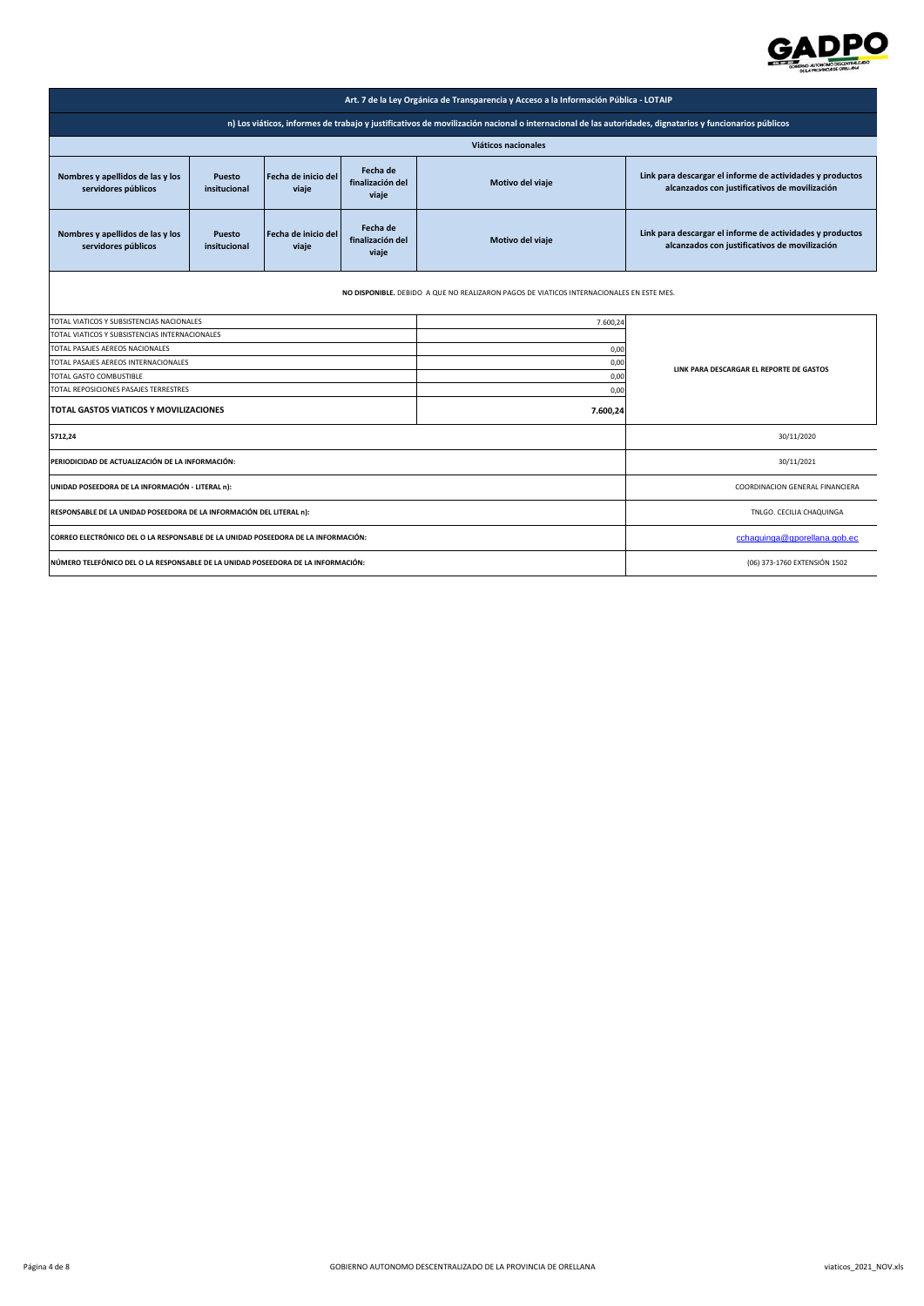

| Art. 7 de la Ley Orgánica de Transparencia y Acceso a la Información Pública - LOTAIP                                                                  |                               |                              |                                       |                  |                                                                                                            |  |
|--------------------------------------------------------------------------------------------------------------------------------------------------------|-------------------------------|------------------------------|---------------------------------------|------------------|------------------------------------------------------------------------------------------------------------|--|
| n) Los viáticos, informes de trabajo y justificativos de movilización nacional o internacional de las autoridades, dignatarios y funcionarios públicos |                               |                              |                                       |                  |                                                                                                            |  |
|                                                                                                                                                        | Viáticos nacionales           |                              |                                       |                  |                                                                                                            |  |
| Nombres y apellidos de las y los<br>servidores públicos                                                                                                | <b>Puesto</b><br>insitucional | Fecha de inicio del<br>viaje | Fecha de<br>finalización del<br>viaje | Motivo del viaje | Link para descargar el informe de actividades y productos<br>alcanzados con justificativos de movilización |  |
| Nombres y apellidos de las y los<br>servidores públicos                                                                                                | <b>Puesto</b><br>insitucional | Fecha de inicio del<br>viaje | Fecha de<br>finalización del<br>viaje | Motivo del viaje | Link para descargar el informe de actividades y productos<br>alcanzados con justificativos de movilización |  |
| NO DISPONIBLE. DEBIDO A QUE NO REALIZARON PAGOS DE VIATICOS INTERNACIONALES EN ESTE MES.                                                               |                               |                              |                                       |                  |                                                                                                            |  |
| TOTAL VIATICOS Y SUBSISTENCIAS NACIONALES<br>7.600,24                                                                                                  |                               |                              |                                       |                  |                                                                                                            |  |
| TOTAL VIATICOS Y SUBSISTENCIAS INTERNACIONALES                                                                                                         |                               |                              |                                       |                  |                                                                                                            |  |
| TOTAL PASAJES AEREOS NACIONALES<br>0,00                                                                                                                |                               |                              |                                       |                  |                                                                                                            |  |
| TOTAL PASAJES AEREOS INTERNACIONALES<br>0,00                                                                                                           |                               |                              |                                       |                  | LINK PARA DESCARGAR EL REPORTE DE GASTOS                                                                   |  |
| TOTAL GASTO COMBUSTIBLE<br>0,00                                                                                                                        |                               |                              |                                       |                  |                                                                                                            |  |
| TOTAL REPOSICIONES PASAJES TERRESTRES<br>0,00                                                                                                          |                               |                              |                                       |                  |                                                                                                            |  |
| TOTAL GASTOS VIATICOS Y MOVILIZACIONES<br>7.600,24                                                                                                     |                               |                              |                                       |                  |                                                                                                            |  |
| 5712,24                                                                                                                                                |                               |                              |                                       |                  | 30/11/2020                                                                                                 |  |
| PERIODICIDAD DE ACTUALIZACIÓN DE LA INFORMACIÓN:                                                                                                       |                               |                              |                                       |                  | 30/11/2021                                                                                                 |  |
| UNIDAD POSEEDORA DE LA INFORMACIÓN - LITERAL n):                                                                                                       |                               |                              |                                       |                  | COORDINACION GENERAL FINANCIERA                                                                            |  |
| RESPONSABLE DE LA UNIDAD POSEEDORA DE LA INFORMACIÓN DEL LITERAL n):                                                                                   |                               |                              |                                       |                  | TNLGO. CECILIA CHAQUINGA                                                                                   |  |
| CORREO ELECTRÓNICO DEL O LA RESPONSABLE DE LA UNIDAD POSEEDORA DE LA INFORMACIÓN:                                                                      |                               |                              |                                       |                  | cchaquinga@gporellana.gob.ec                                                                               |  |
| NÚMERO TELEFÓNICO DEL O LA RESPONSABLE DE LA UNIDAD POSEEDORA DE LA INFORMACIÓN:                                                                       |                               |                              |                                       |                  | (06) 373-1760 EXTENSIÓN 1502                                                                               |  |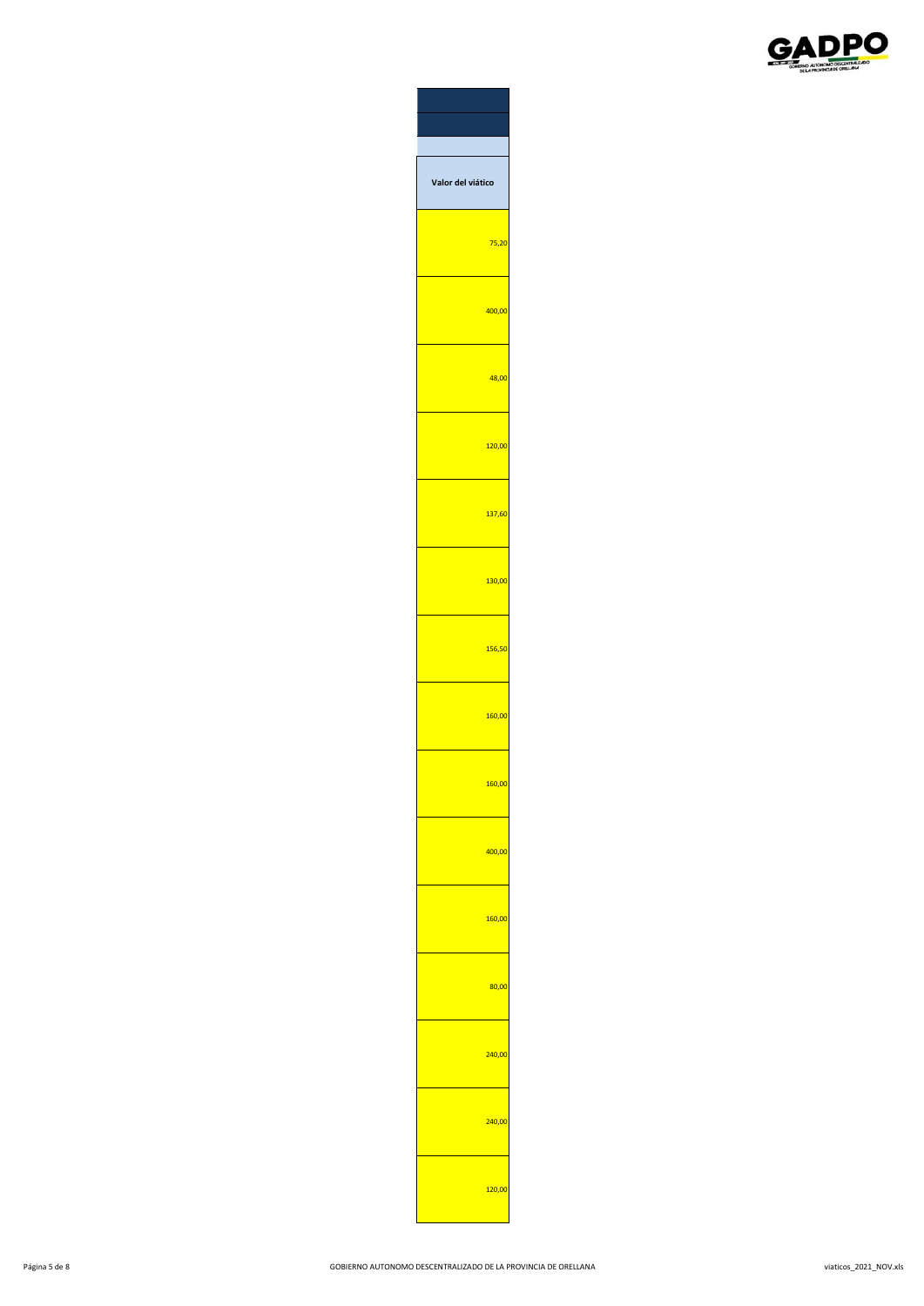

| alor del viático |
|------------------|
| 75,20            |
| 400,00           |
| 48,00            |
| 120,00           |
| 137,60           |
| 130,00           |
| 156,50           |
| 160,00           |
| 160.0            |
| 400,00           |
| 160,00           |
| 80,00            |
| 240,00           |
| 240,00           |
| 120,00           |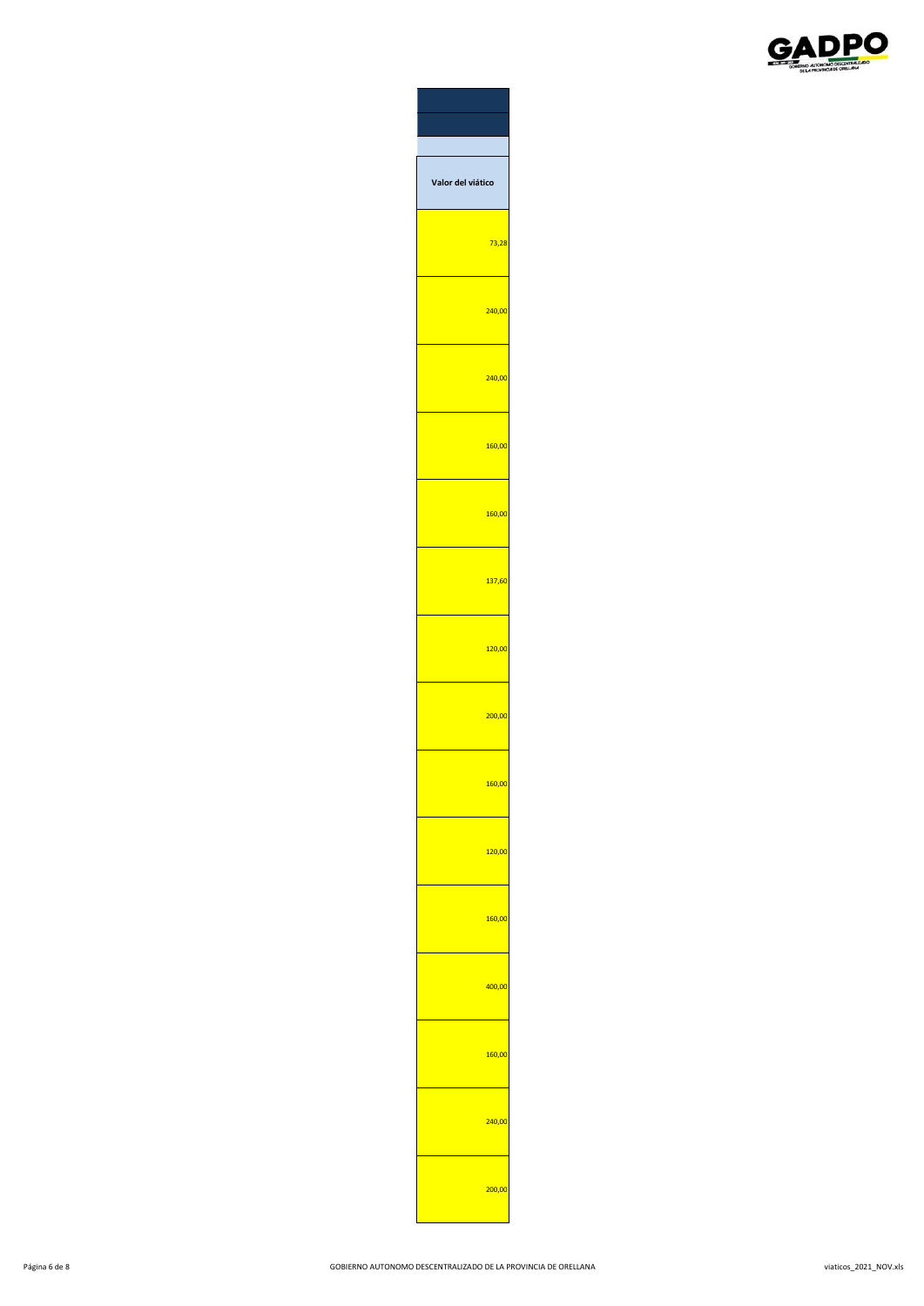

| <b>Jalor del viático</b> |        |
|--------------------------|--------|
|                          | 73,28  |
|                          | 240,00 |
|                          | 240,00 |
|                          | 160,00 |
|                          | 160,00 |
|                          | 137,60 |
|                          | 120,00 |
|                          | 200,00 |
| 160,00                   |        |
|                          | 120,00 |
|                          | 160,00 |
|                          | 400,00 |
|                          | 160,00 |
|                          | 240,00 |
|                          | 200,00 |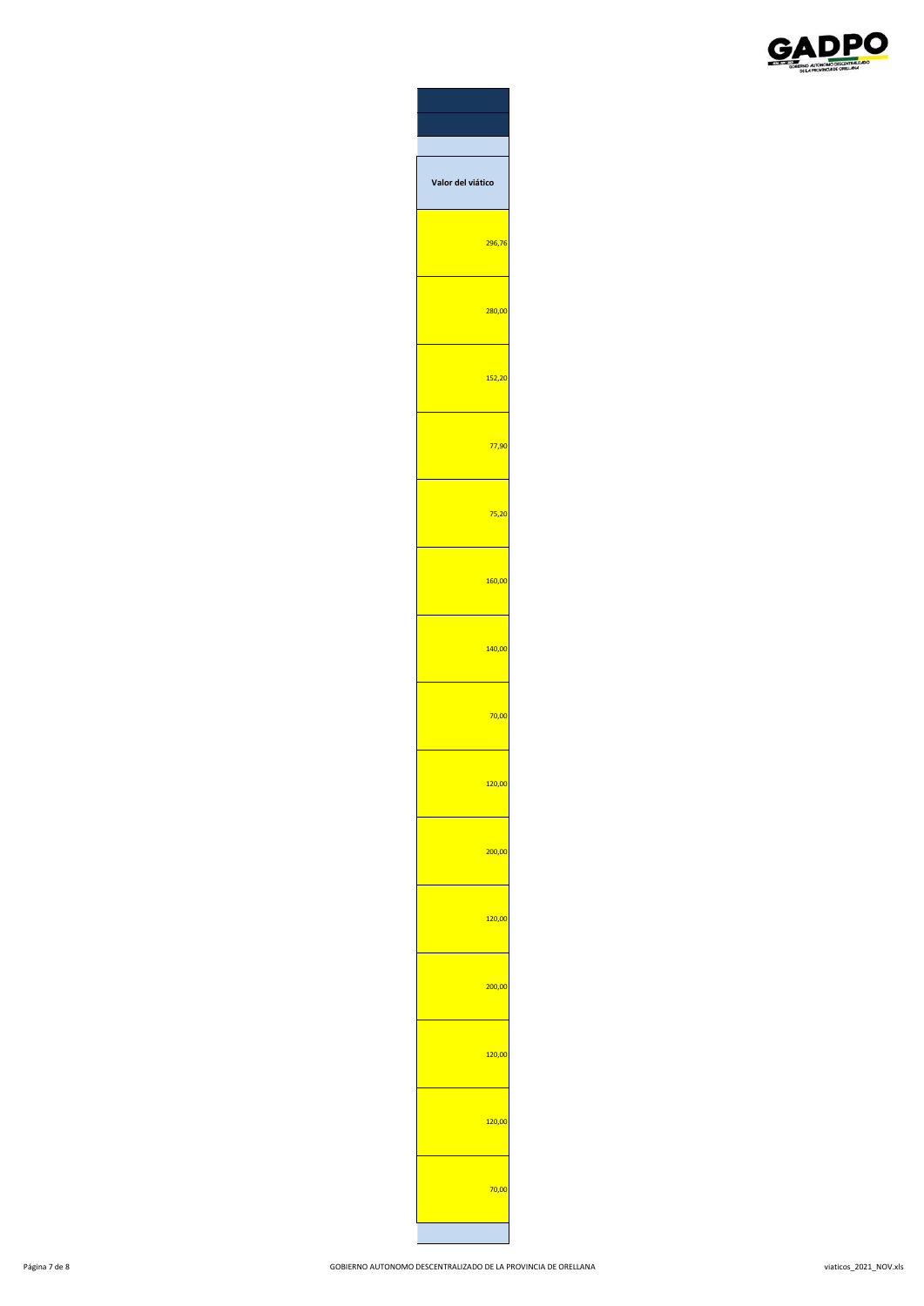

| alor del viático |            |
|------------------|------------|
|                  | 296,76     |
|                  | 280,00     |
|                  | 152,20     |
|                  | 77,90      |
|                  | ,20<br>75  |
|                  | 160,00     |
|                  | 140,00     |
|                  | 70,00      |
|                  | 120,00     |
|                  | 00,00      |
|                  | 120,00     |
|                  | 200,00     |
|                  | 20,00<br>1 |
|                  | 120,00     |
|                  | 0,00       |
|                  |            |